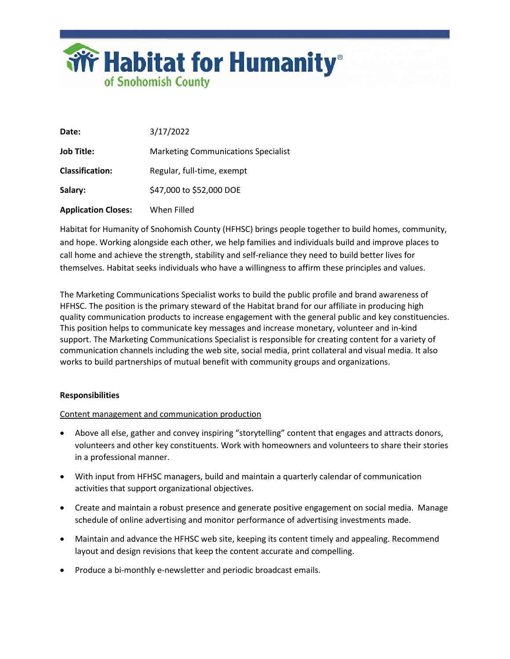

| Date:                      | 3/17/2022                                  |
|----------------------------|--------------------------------------------|
| <b>Job Title:</b>          | <b>Marketing Communications Specialist</b> |
| <b>Classification:</b>     | Regular, full-time, exempt                 |
| Salary:                    | \$47,000 to \$52,000 DOE                   |
| <b>Application Closes:</b> | When Filled                                |

Habitat for Humanity of Snohomish County (HFHSC) brings people together to build homes, community, and hope. Working alongside each other, we help families and individuals build and improve places to call home and achieve the strength, stability and self-reliance they need to build better lives for themselves. Habitat seeks individuals who have a willingness to affirm these principles and values.

The Marketing Communications Specialist works to build the public profile and brand awareness of HFHSC. The position is the primary steward of the Habitat brand for our affiliate in producing high quality communication products to increase engagement with the general public and key constituencies. This position helps to communicate key messages and increase monetary, volunteer and in-kind support. The Marketing Communications Specialist is responsible for creating content for a variety of communication channels including the web site, social media, print collateral and visual media. It also works to build partnerships of mutual benefit with community groups and organizations.

# **Responsibilities**

# Content management and communication production

- Above all else, gather and convey inspiring "storytelling" content that engages and attracts donors, volunteers and other key constituents. Work with homeowners and volunteers to share their stories in a professional manner.
- With input from HFHSC managers, build and maintain a quarterly calendar of communication activities that support organizational objectives.
- Create and maintain a robust presence and generate positive engagement on social media. Manage schedule of online advertising and monitor performance of advertising investments made.
- Maintain and advance the HFHSC web site, keeping its content timely and appealing. Recommend layout and design revisions that keep the content accurate and compelling.
- Produce a bi-monthly e-newsletter and periodic broadcast emails.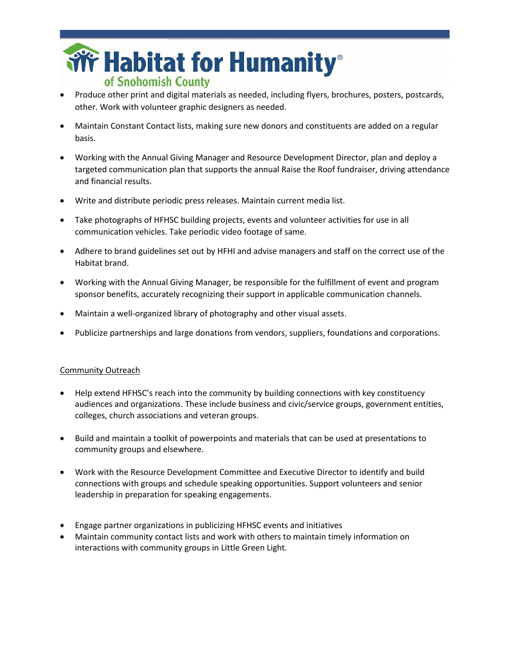

- Produce other print and digital materials as needed, including flyers, brochures, posters, postcards, other. Work with volunteer graphic designers as needed.
- Maintain Constant Contact lists, making sure new donors and constituents are added on a regular basis.
- Working with the Annual Giving Manager and Resource Development Director, plan and deploy a targeted communication plan that supports the annual Raise the Roof fundraiser, driving attendance and financial results.
- Write and distribute periodic press releases. Maintain current media list.
- Take photographs of HFHSC building projects, events and volunteer activities for use in all communication vehicles. Take periodic video footage of same.
- Adhere to brand guidelines set out by HFHI and advise managers and staff on the correct use of the Habitat brand.
- Working with the Annual Giving Manager, be responsible for the fulfillment of event and program sponsor benefits, accurately recognizing their support in applicable communication channels.
- Maintain a well-organized library of photography and other visual assets.
- Publicize partnerships and large donations from vendors, suppliers, foundations and corporations.

# Community Outreach

- Help extend HFHSC's reach into the community by building connections with key constituency audiences and organizations. These include business and civic/service groups, government entities, colleges, church associations and veteran groups.
- Build and maintain a toolkit of powerpoints and materials that can be used at presentations to community groups and elsewhere.
- Work with the Resource Development Committee and Executive Director to identify and build connections with groups and schedule speaking opportunities. Support volunteers and senior leadership in preparation for speaking engagements.
- Engage partner organizations in publicizing HFHSC events and initiatives
- Maintain community contact lists and work with others to maintain timely information on interactions with community groups in Little Green Light.